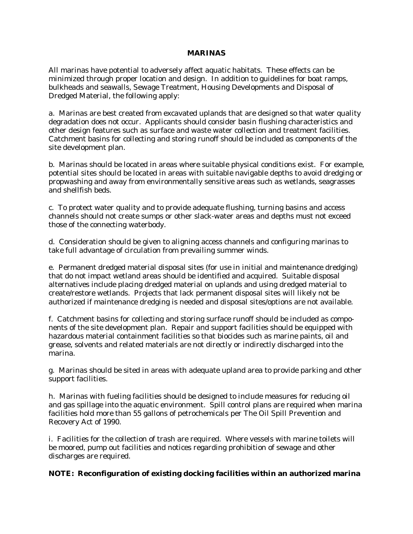## **MARINAS**

All marinas have potential to adversely affect aquatic habitats. These effects can be minimized through proper location and design. In addition to guidelines for boat ramps, bulkheads and seawalls, Sewage Treatment, Housing Developments and Disposal of Dredged Material, the following apply:

a. Marinas are best created from excavated uplands that are designed so that water quality degradation does not occur. Applicants should consider basin flushing characteristics and other design features such as surface and waste water collection and treatment facilities. Catchment basins for collecting and storing runoff should be included as components of the site development plan.

b. Marinas should be located in areas where suitable physical conditions exist. For example, potential sites should be located in areas with suitable navigable depths to avoid dredging or propwashing and away from environmentally sensitive areas such as wetlands, seagrasses and shellfish beds.

c. To protect water quality and to provide adequate flushing, turning basins and access channels should not create sumps or other slack-water areas and depths must not exceed those of the connecting waterbody.

d. Consideration should be given to aligning access channels and configuring marinas to take full advantage of circulation from prevailing summer winds.

e. Permanent dredged material disposal sites (for use in initial and maintenance dredging) that do not impact wetland areas should be identified and acquired. Suitable disposal alternatives include placing dredged material on uplands and using dredged material to create/restore wetlands. Projects that lack permanent disposal sites will likely not be authorized if maintenance dredging is needed and disposal sites/options are not available.

f. Catchment basins for collecting and storing surface runoff should be included as components of the site development plan. Repair and support facilities should be equipped with hazardous material containment facilities so that biocides such as marine paints, oil and grease, solvents and related materials are not directly or indirectly discharged into the marina.

g. Marinas should be sited in areas with adequate upland area to provide parking and other support facilities.

h. Marinas with fueling facilities should be designed to include measures for reducing oil and gas spillage into the aquatic environment. Spill control plans are required when marina facilities hold more than 55 gallons of petrochemicals per The Oil Spill Prevention and Recovery Act of 1990.

i. Facilities for the collection of trash are required. Where vessels with marine toilets will be moored, pump out facilities and notices regarding prohibition of sewage and other discharges are required.

## **NOTE: Reconfiguration of existing docking facilities within an authorized marina**